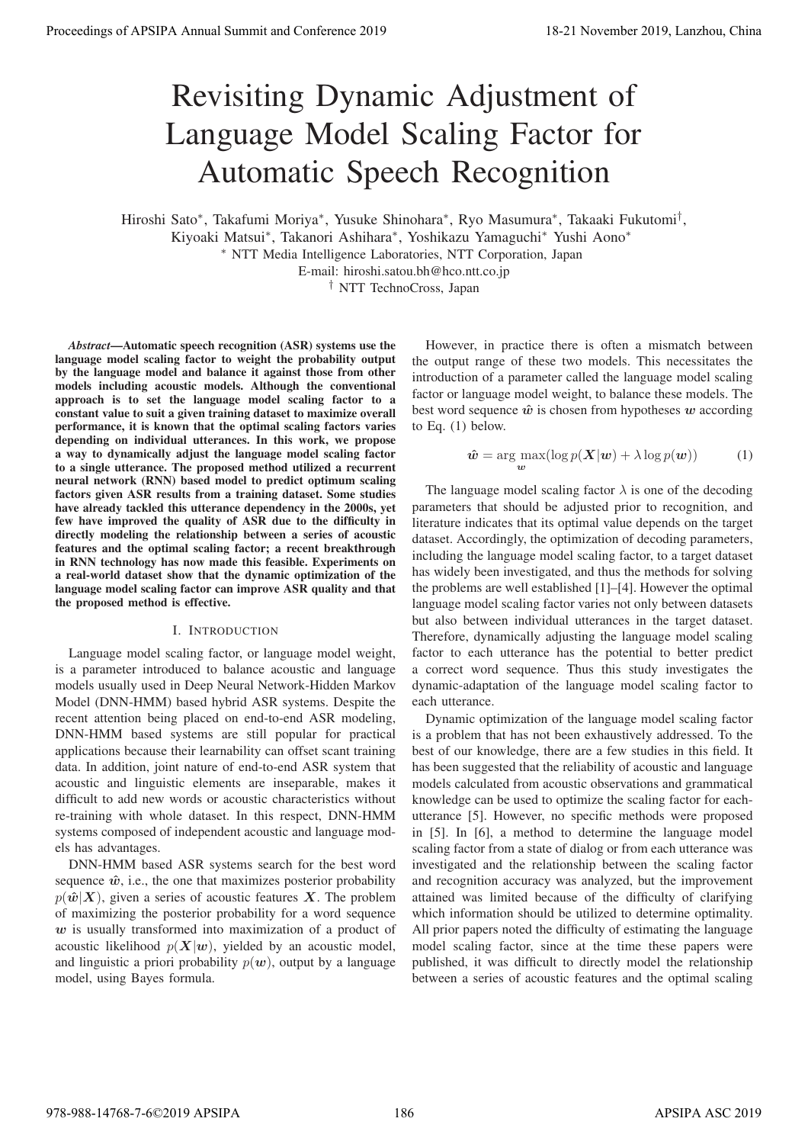# Revisiting Dynamic Adjustment of Language Model Scaling Factor for Automatic Speech Recognition

Hiroshi Sato\*, Takafumi Moriya\*, Yusuke Shinohara\*, Ryo Masumura\*, Takaaki Fukutomi<sup>†</sup>,

Kiyoaki Matsui<sup>∗</sup> , Takanori Ashihara<sup>∗</sup> , Yoshikazu Yamaguchi<sup>∗</sup> Yushi Aono<sup>∗</sup>

<sup>∗</sup> NTT Media Intelligence Laboratories, NTT Corporation, Japan

E-mail: hiroshi.satou.bh@hco.ntt.co.jp

† NTT TechnoCross, Japan

*Abstract*—Automatic speech recognition (ASR) systems use the language model scaling factor to weight the probability output by the language model and balance it against those from other models including acoustic models. Although the conventional approach is to set the language model scaling factor to a constant value to suit a given training dataset to maximize overall performance, it is known that the optimal scaling factors varies depending on individual utterances. In this work, we propose a way to dynamically adjust the language model scaling factor to a single utterance. The proposed method utilized a recurrent neural network (RNN) based model to predict optimum scaling factors given ASR results from a training dataset. Some studies have already tackled this utterance dependency in the 2000s, yet few have improved the quality of ASR due to the difficulty in directly modeling the relationship between a series of acoustic features and the optimal scaling factor; a recent breakthrough in RNN technology has now made this feasible. Experiments on a real-world dataset show that the dynamic optimization of the language model scaling factor can improve ASR quality and that the proposed method is effective.

# I. INTRODUCTION

Language model scaling factor, or language model weight, is a parameter introduced to balance acoustic and language models usually used in Deep Neural Network-Hidden Markov Model (DNN-HMM) based hybrid ASR systems. Despite the recent attention being placed on end-to-end ASR modeling, DNN-HMM based systems are still popular for practical applications because their learnability can offset scant training data. In addition, joint nature of end-to-end ASR system that acoustic and linguistic elements are inseparable, makes it difficult to add new words or acoustic characteristics without re-training with whole dataset. In this respect, DNN-HMM systems composed of independent acoustic and language models has advantages.

DNN-HMM based ASR systems search for the best word sequence  $\hat{w}$ , i.e., the one that maximizes posterior probability  $p(\hat{\boldsymbol{w}}|\boldsymbol{X})$ , given a series of acoustic features X. The problem of maximizing the posterior probability for a word sequence  $w$  is usually transformed into maximization of a product of acoustic likelihood  $p(X|w)$ , yielded by an acoustic model, and linguistic a priori probability  $p(w)$ , output by a language model, using Bayes formula.

However, in practice there is often a mismatch between the output range of these two models. This necessitates the introduction of a parameter called the language model scaling factor or language model weight, to balance these models. The best word sequence  $\hat{w}$  is chosen from hypotheses w according to Eq. (1) below.

$$
\hat{\boldsymbol{w}} = \arg \max_{\boldsymbol{w}} (\log p(\boldsymbol{X}|\boldsymbol{w}) + \lambda \log p(\boldsymbol{w})) \tag{1}
$$

The language model scaling factor  $\lambda$  is one of the decoding parameters that should be adjusted prior to recognition, and literature indicates that its optimal value depends on the target dataset. Accordingly, the optimization of decoding parameters, including the language model scaling factor, to a target dataset has widely been investigated, and thus the methods for solving the problems are well established [1]–[4]. However the optimal language model scaling factor varies not only between datasets but also between individual utterances in the target dataset. Therefore, dynamically adjusting the language model scaling factor to each utterance has the potential to better predict a correct word sequence. Thus this study investigates the dynamic-adaptation of the language model scaling factor to each utterance.

Dynamic optimization of the language model scaling factor is a problem that has not been exhaustively addressed. To the best of our knowledge, there are a few studies in this field. It has been suggested that the reliability of acoustic and language models calculated from acoustic observations and grammatical knowledge can be used to optimize the scaling factor for eachutterance [5]. However, no specific methods were proposed in [5]. In [6], a method to determine the language model scaling factor from a state of dialog or from each utterance was investigated and the relationship between the scaling factor and recognition accuracy was analyzed, but the improvement attained was limited because of the difficulty of clarifying which information should be utilized to determine optimality. All prior papers noted the difficulty of estimating the language model scaling factor, since at the time these papers were published, it was difficult to directly model the relationship between a series of acoustic features and the optimal scaling **Proceeding of APSIPA Annual Summit at China 978-988-1478**<br>
Revised in the conference 2019 18-21 November 2019 18-22 November 2019 18-22 November 2019, Lanzhou, China 978-988-14768-7-6020 18-22 November 2019 18-22 Novembe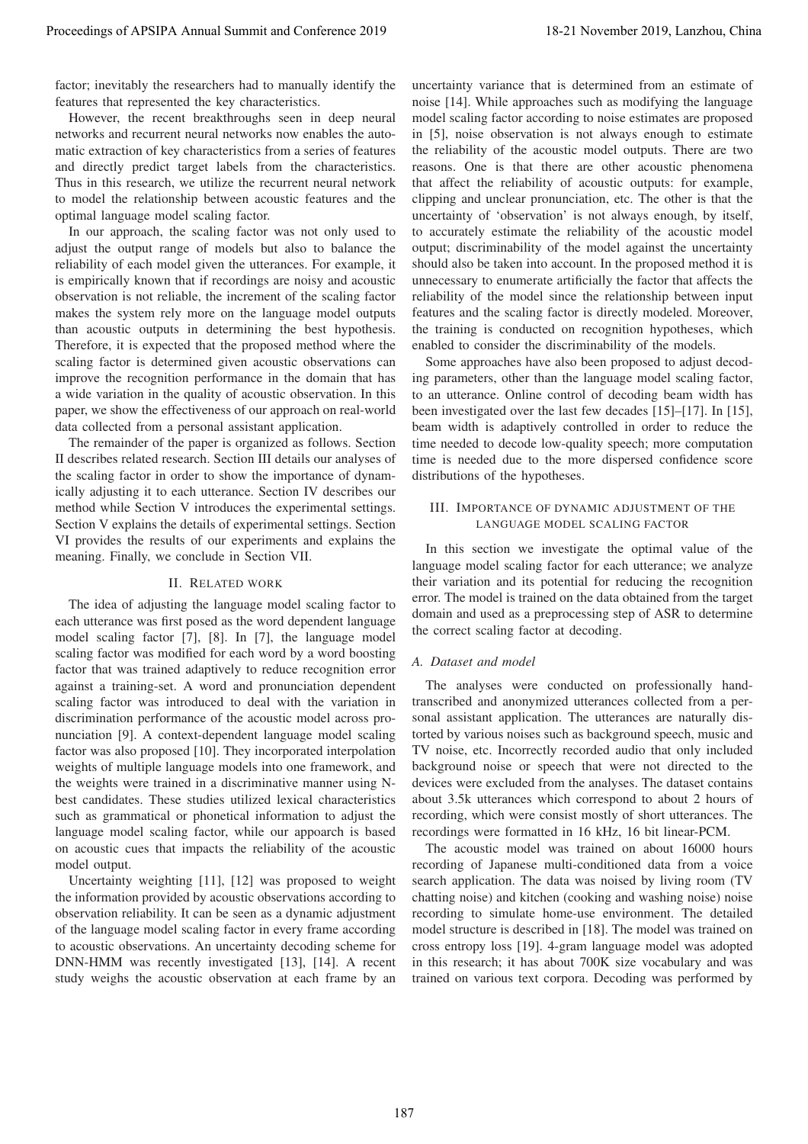factor; inevitably the researchers had to manually identify the features that represented the key characteristics.

However, the recent breakthroughs seen in deep neural networks and recurrent neural networks now enables the automatic extraction of key characteristics from a series of features and directly predict target labels from the characteristics. Thus in this research, we utilize the recurrent neural network to model the relationship between acoustic features and the optimal language model scaling factor.

In our approach, the scaling factor was not only used to adjust the output range of models but also to balance the reliability of each model given the utterances. For example, it is empirically known that if recordings are noisy and acoustic observation is not reliable, the increment of the scaling factor makes the system rely more on the language model outputs than acoustic outputs in determining the best hypothesis. Therefore, it is expected that the proposed method where the scaling factor is determined given acoustic observations can improve the recognition performance in the domain that has a wide variation in the quality of acoustic observation. In this paper, we show the effectiveness of our approach on real-world data collected from a personal assistant application.

The remainder of the paper is organized as follows. Section II describes related research. Section III details our analyses of the scaling factor in order to show the importance of dynamically adjusting it to each utterance. Section IV describes our method while Section V introduces the experimental settings. Section V explains the details of experimental settings. Section VI provides the results of our experiments and explains the meaning. Finally, we conclude in Section VII.

#### II. RELATED WORK

The idea of adjusting the language model scaling factor to each utterance was first posed as the word dependent language model scaling factor [7], [8]. In [7], the language model scaling factor was modified for each word by a word boosting factor that was trained adaptively to reduce recognition error against a training-set. A word and pronunciation dependent scaling factor was introduced to deal with the variation in discrimination performance of the acoustic model across pronunciation [9]. A context-dependent language model scaling factor was also proposed [10]. They incorporated interpolation weights of multiple language models into one framework, and the weights were trained in a discriminative manner using Nbest candidates. These studies utilized lexical characteristics such as grammatical or phonetical information to adjust the language model scaling factor, while our appoarch is based on acoustic cues that impacts the reliability of the acoustic model output. Procedure of APSIPA Annual Summit and Conference 2019<br>
Results and conference 2019, Lanzhou, China 1976, China 1976, China 1976, China 1976, China 1976, China 1976, China 1976, China 1976, China 1976, China 1976, China 19

Uncertainty weighting [11], [12] was proposed to weight the information provided by acoustic observations according to observation reliability. It can be seen as a dynamic adjustment of the language model scaling factor in every frame according to acoustic observations. An uncertainty decoding scheme for DNN-HMM was recently investigated [13], [14]. A recent study weighs the acoustic observation at each frame by an

uncertainty variance that is determined from an estimate of noise [14]. While approaches such as modifying the language model scaling factor according to noise estimates are proposed in [5], noise observation is not always enough to estimate the reliability of the acoustic model outputs. There are two reasons. One is that there are other acoustic phenomena that affect the reliability of acoustic outputs: for example, clipping and unclear pronunciation, etc. The other is that the uncertainty of 'observation' is not always enough, by itself, to accurately estimate the reliability of the acoustic model output; discriminability of the model against the uncertainty should also be taken into account. In the proposed method it is unnecessary to enumerate artificially the factor that affects the reliability of the model since the relationship between input features and the scaling factor is directly modeled. Moreover, the training is conducted on recognition hypotheses, which enabled to consider the discriminability of the models.

Some approaches have also been proposed to adjust decoding parameters, other than the language model scaling factor, to an utterance. Online control of decoding beam width has been investigated over the last few decades [15]–[17]. In [15], beam width is adaptively controlled in order to reduce the time needed to decode low-quality speech; more computation time is needed due to the more dispersed confidence score distributions of the hypotheses.

## III. IMPORTANCE OF DYNAMIC ADJUSTMENT OF THE LANGUAGE MODEL SCALING FACTOR

In this section we investigate the optimal value of the language model scaling factor for each utterance; we analyze their variation and its potential for reducing the recognition error. The model is trained on the data obtained from the target domain and used as a preprocessing step of ASR to determine the correct scaling factor at decoding.

### *A. Dataset and model*

The analyses were conducted on professionally handtranscribed and anonymized utterances collected from a personal assistant application. The utterances are naturally distorted by various noises such as background speech, music and TV noise, etc. Incorrectly recorded audio that only included background noise or speech that were not directed to the devices were excluded from the analyses. The dataset contains about 3.5k utterances which correspond to about 2 hours of recording, which were consist mostly of short utterances. The recordings were formatted in 16 kHz, 16 bit linear-PCM.

The acoustic model was trained on about 16000 hours recording of Japanese multi-conditioned data from a voice search application. The data was noised by living room (TV chatting noise) and kitchen (cooking and washing noise) noise recording to simulate home-use environment. The detailed model structure is described in [18]. The model was trained on cross entropy loss [19]. 4-gram language model was adopted in this research; it has about 700K size vocabulary and was trained on various text corpora. Decoding was performed by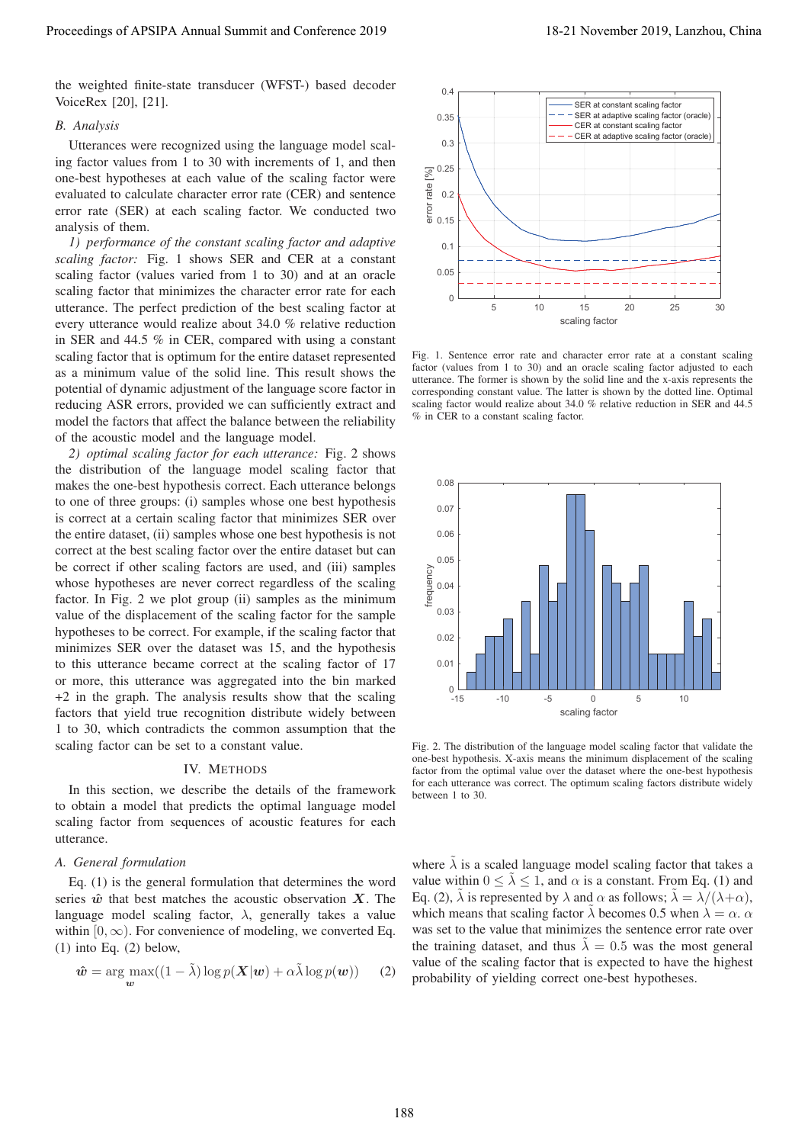the weighted finite-state transducer (WFST-) based decoder VoiceRex [20], [21].

# *B. Analysis*

Utterances were recognized using the language model scaling factor values from 1 to 30 with increments of 1, and then one-best hypotheses at each value of the scaling factor were evaluated to calculate character error rate (CER) and sentence error rate (SER) at each scaling factor. We conducted two analysis of them.

*1) performance of the constant scaling factor and adaptive scaling factor:* Fig. 1 shows SER and CER at a constant scaling factor (values varied from 1 to 30) and at an oracle scaling factor that minimizes the character error rate for each utterance. The perfect prediction of the best scaling factor at every utterance would realize about 34.0 % relative reduction in SER and 44.5 % in CER, compared with using a constant scaling factor that is optimum for the entire dataset represented as a minimum value of the solid line. This result shows the potential of dynamic adjustment of the language score factor in reducing ASR errors, provided we can sufficiently extract and model the factors that affect the balance between the reliability of the acoustic model and the language model.

*2) optimal scaling factor for each utterance:* Fig. 2 shows the distribution of the language model scaling factor that makes the one-best hypothesis correct. Each utterance belongs to one of three groups: (i) samples whose one best hypothesis is correct at a certain scaling factor that minimizes SER over the entire dataset, (ii) samples whose one best hypothesis is not correct at the best scaling factor over the entire dataset but can be correct if other scaling factors are used, and (iii) samples whose hypotheses are never correct regardless of the scaling factor. In Fig. 2 we plot group (ii) samples as the minimum value of the displacement of the scaling factor for the sample hypotheses to be correct. For example, if the scaling factor that minimizes SER over the dataset was 15, and the hypothesis to this utterance became correct at the scaling factor of 17 or more, this utterance was aggregated into the bin marked +2 in the graph. The analysis results show that the scaling factors that yield true recognition distribute widely between 1 to 30, which contradicts the common assumption that the scaling factor can be set to a constant value. Procedure of APSIPA Annual Summit and Conference 2019<br>
Rev. and Conference 2019 18-21 November 2019 18-21 November 2019 18-21 November 2019 18-21 November 2019 18-21<br>
Weights are conference 2018 in the conference 2018 and

#### IV. METHODS

In this section, we describe the details of the framework to obtain a model that predicts the optimal language model scaling factor from sequences of acoustic features for each utterance.

## *A. General formulation*

Eq. (1) is the general formulation that determines the word series  $\hat{w}$  that best matches the acoustic observation X. The language model scaling factor,  $\lambda$ , generally takes a value within  $[0, \infty)$ . For convenience of modeling, we converted Eq.  $(1)$  into Eq.  $(2)$  below,

$$
\hat{\boldsymbol{w}} = \arg \max_{\boldsymbol{w}} ((1 - \tilde{\lambda}) \log p(\boldsymbol{X}|\boldsymbol{w}) + \alpha \tilde{\lambda} \log p(\boldsymbol{w})) \qquad (2)
$$



5 10 15 20 25 30 scaling factor

Fig. 1. Sentence error rate and character error rate at a constant scaling factor (values from 1 to 30) and an oracle scaling factor adjusted to each utterance. The former is shown by the solid line and the x-axis represents the corresponding constant value. The latter is shown by the dotted line. Optimal scaling factor would realize about 34.0 % relative reduction in SER and 44.5 % in CER to a constant scaling factor.



Fig. 2. The distribution of the language model scaling factor that validate the one-best hypothesis. X-axis means the minimum displacement of the scaling factor from the optimal value over the dataset where the one-best hypothesis for each utterance was correct. The optimum scaling factors distribute widely between 1 to 30.

where  $\lambda$  is a scaled language model scaling factor that takes a value within  $0 \le \lambda \le 1$ , and  $\alpha$  is a constant. From Eq. (1) and Eq. (2),  $\lambda$  is represented by  $\lambda$  and  $\alpha$  as follows;  $\lambda = \lambda/(\lambda + \alpha)$ , which means that scaling factor  $\lambda$  becomes 0.5 when  $\lambda = \alpha$ .  $\alpha$ was set to the value that minimizes the sentence error rate over the training dataset, and thus  $\lambda = 0.5$  was the most general value of the scaling factor that is expected to have the highest probability of yielding correct one-best hypotheses.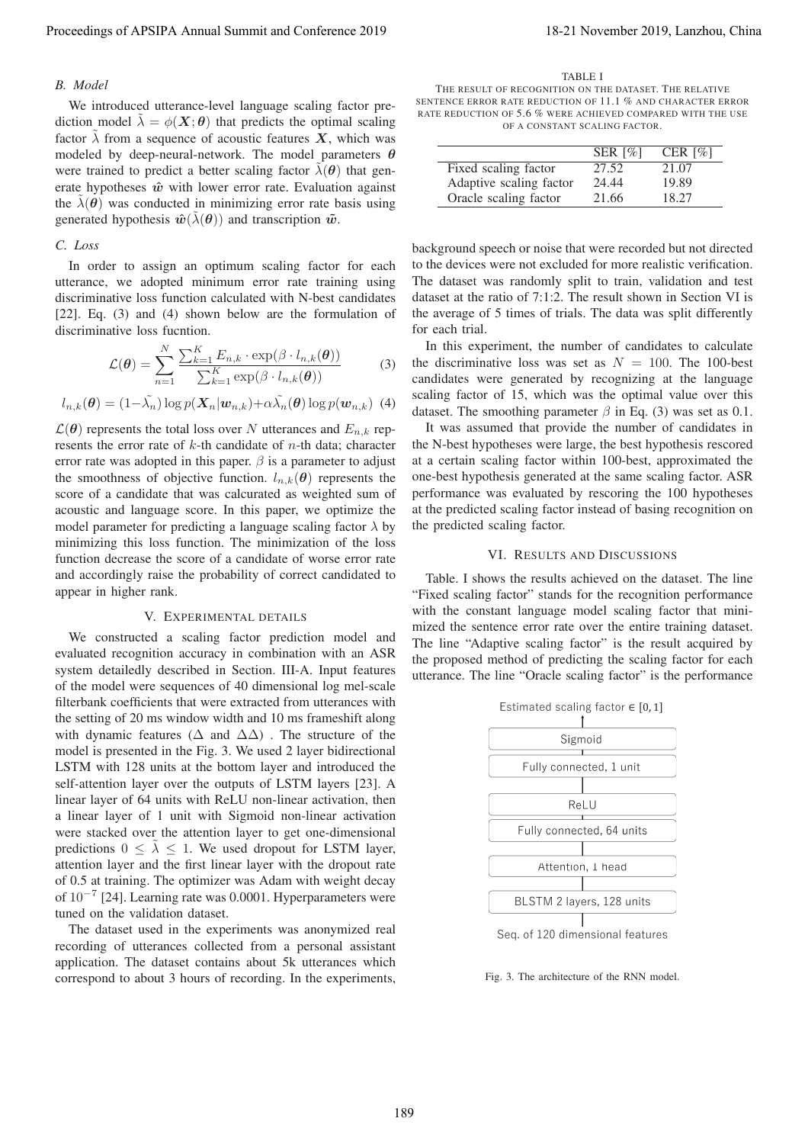# *B. Model*

We introduced utterance-level language scaling factor prediction model  $\tilde{\lambda} = \phi(X; \theta)$  that predicts the optimal scaling factor  $\lambda$  from a sequence of acoustic features  $X$ , which was modeled by deep-neural-network. The model parameters  $\theta$ were trained to predict a better scaling factor  $\lambda(\theta)$  that generate hypotheses  $\hat{w}$  with lower error rate. Evaluation against the  $\tilde{\lambda}(\theta)$  was conducted in minimizing error rate basis using generated hypothesis  $\hat{w}(\lambda(\theta))$  and transcription  $\tilde{w}$ .

# *C. Loss*

In order to assign an optimum scaling factor for each utterance, we adopted minimum error rate training using discriminative loss function calculated with N-best candidates [22]. Eq. (3) and (4) shown below are the formulation of discriminative loss fucntion.

$$
\mathcal{L}(\boldsymbol{\theta}) = \sum_{n=1}^{N} \frac{\sum_{k=1}^{K} E_{n,k} \cdot \exp(\beta \cdot l_{n,k}(\boldsymbol{\theta}))}{\sum_{k=1}^{K} \exp(\beta \cdot l_{n,k}(\boldsymbol{\theta}))}
$$
(3)

$$
l_{n,k}(\boldsymbol{\theta}) = (1 - \tilde{\lambda}_n) \log p(\boldsymbol{X}_n | \boldsymbol{w}_{n,k}) + \alpha \tilde{\lambda}_n(\boldsymbol{\theta}) \log p(\boldsymbol{w}_{n,k}) \tag{4}
$$

 $\mathcal{L}(\theta)$  represents the total loss over N utterances and  $E_{n,k}$  represents the error rate of  $k$ -th candidate of  $n$ -th data; character error rate was adopted in this paper.  $\beta$  is a parameter to adjust the smoothness of objective function.  $l_{n,k}(\theta)$  represents the score of a candidate that was calcurated as weighted sum of acoustic and language score. In this paper, we optimize the model parameter for predicting a language scaling factor  $\lambda$  by minimizing this loss function. The minimization of the loss function decrease the score of a candidate of worse error rate and accordingly raise the probability of correct candidated to appear in higher rank.

#### V. EXPERIMENTAL DETAILS

We constructed a scaling factor prediction model and evaluated recognition accuracy in combination with an ASR system detailedly described in Section. III-A. Input features of the model were sequences of 40 dimensional log mel-scale filterbank coefficients that were extracted from utterances with the setting of 20 ms window width and 10 ms frameshift along with dynamic features ( $\Delta$  and  $\Delta\Delta$ ). The structure of the model is presented in the Fig. 3. We used 2 layer bidirectional LSTM with 128 units at the bottom layer and introduced the self-attention layer over the outputs of LSTM layers [23]. A linear layer of 64 units with ReLU non-linear activation, then a linear layer of 1 unit with Sigmoid non-linear activation were stacked over the attention layer to get one-dimensional predictions  $0 \leq \lambda \leq 1$ . We used dropout for LSTM layer, attention layer and the first linear layer with the dropout rate of 0.5 at training. The optimizer was Adam with weight decay of 10<sup>−</sup><sup>7</sup> [24]. Learning rate was 0.0001. Hyperparameters were tuned on the validation dataset. Proceeding of APSIPA Annual Summit and Conference 2019<br>
R. West Land Historic Conference 2019<br>
West Land Historic Conference 2019<br>
West Land Historic Conference 2019<br>
West Land Historic Conference 2019<br>
West Land Historic

The dataset used in the experiments was anonymized real recording of utterances collected from a personal assistant application. The dataset contains about 5k utterances which correspond to about 3 hours of recording. In the experiments,

TABLE I

THE RESULT OF RECOGNITION ON THE DATASET. THE RELATIVE SENTENCE ERROR RATE REDUCTION OF 11.1 % AND CHARACTER ERROR RATE REDUCTION OF 5.6 % WERE ACHIEVED COMPARED WITH THE USE OF A CONSTANT SCALING FACTOR.

|                         | <b>SER</b> [%] | CER $[%]$ |
|-------------------------|----------------|-----------|
| Fixed scaling factor    | 27.52          | 21.07     |
| Adaptive scaling factor | 24.44          | 19.89     |
| Oracle scaling factor   | 21.66          | 18.27     |

background speech or noise that were recorded but not directed to the devices were not excluded for more realistic verification. The dataset was randomly split to train, validation and test dataset at the ratio of 7:1:2. The result shown in Section VI is the average of 5 times of trials. The data was split differently for each trial.

In this experiment, the number of candidates to calculate the discriminative loss was set as  $N = 100$ . The 100-best candidates were generated by recognizing at the language scaling factor of 15, which was the optimal value over this dataset. The smoothing parameter  $\beta$  in Eq. (3) was set as 0.1.

It was assumed that provide the number of candidates in the N-best hypotheses were large, the best hypothesis rescored at a certain scaling factor within 100-best, approximated the one-best hypothesis generated at the same scaling factor. ASR performance was evaluated by rescoring the 100 hypotheses at the predicted scaling factor instead of basing recognition on the predicted scaling factor.

### VI. RESULTS AND DISCUSSIONS

Table. I shows the results achieved on the dataset. The line "Fixed scaling factor" stands for the recognition performance with the constant language model scaling factor that minimized the sentence error rate over the entire training dataset. The line "Adaptive scaling factor" is the result acquired by the proposed method of predicting the scaling factor for each utterance. The line "Oracle scaling factor" is the performance

| LSUMateu stamig lattur <b>c ju,</b> 1j |  |
|----------------------------------------|--|
| Sigmoid                                |  |

| Sigmoid                   |  |  |  |
|---------------------------|--|--|--|
| Fully connected, 1 unit   |  |  |  |
|                           |  |  |  |
| ReLU                      |  |  |  |
| Fully connected, 64 units |  |  |  |
|                           |  |  |  |
| Attention, 1 head         |  |  |  |
|                           |  |  |  |
| BLSTM 2 layers, 128 units |  |  |  |
|                           |  |  |  |

Fig. 3. The architecture of the RNN model.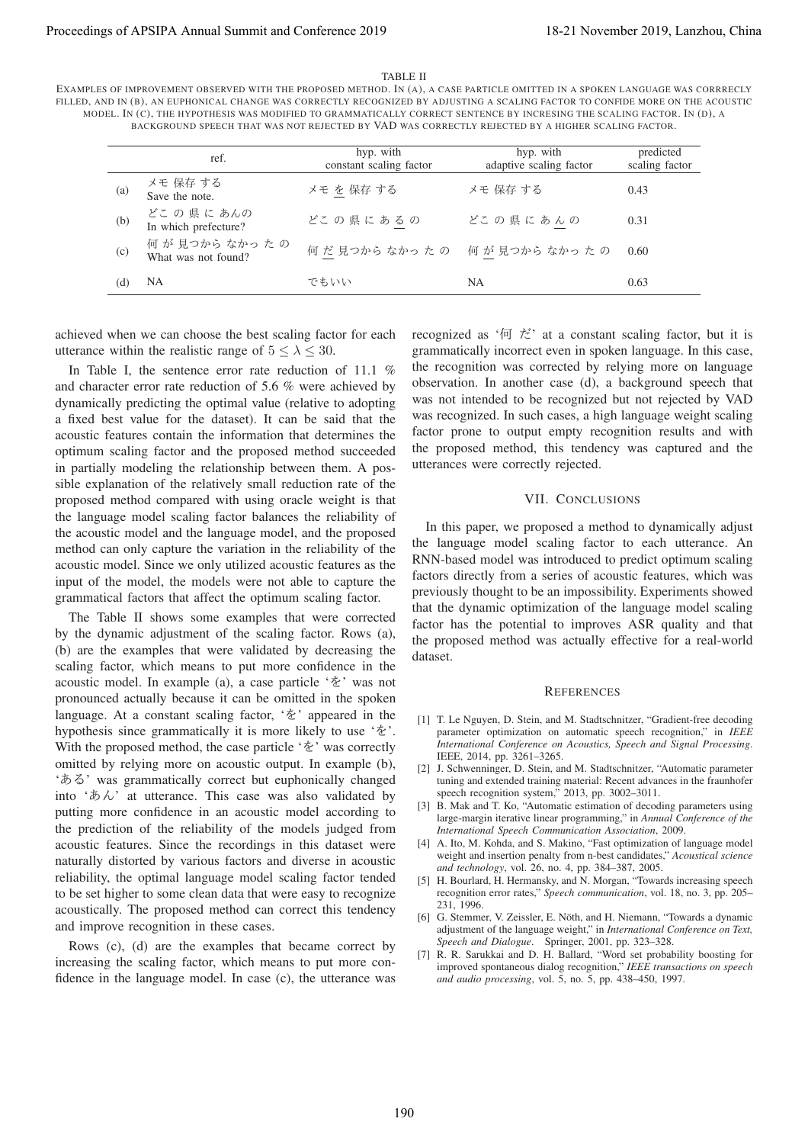#### TABLE II

EXAMPLES OF IMPROVEMENT OBSERVED WITH THE PROPOSED METHOD. IN (A), A CASE PARTICLE OMITTED IN A SPOKEN LANGUAGE WAS CORRRECLY FILLED, AND IN (B), AN EUPHONICAL CHANGE WAS CORRECTLY RECOGNIZED BY ADJUSTING A SCALING FACTOR TO CONFIDE MORE ON THE ACOUSTIC MODEL. IN (C), THE HYPOTHESIS WAS MODIFIED TO GRAMMATICALLY CORRECT SENTENCE BY INCRESING THE SCALING FACTOR. IN (D), A BACKGROUND SPEECH THAT WAS NOT REJECTED BY VAD WAS CORRECTLY REJECTED BY A HIGHER SCALING FACTOR.

|     | ref.                                 | hyp. with<br>constant scaling factor | hyp. with<br>adaptive scaling factor | predicted<br>scaling factor |
|-----|--------------------------------------|--------------------------------------|--------------------------------------|-----------------------------|
| (a) | メモ 保存 する<br>Save the note.           | メモ を 保存 する                           | メモ 保存 する                             | 0.43                        |
| (b) | どこ の 県 に あんの<br>In which prefecture? | どこの県にあるの                             | どこの県にあんの                             | 0.31                        |
| (c) | 何が見つからなかったの<br>What was not found?   |                                      | 何だ 見つから なかっ た の 何 が 見つから なかっ た の     | 0.60                        |
| (d) | NA                                   | でもいい                                 | NA                                   | 0.63                        |

achieved when we can choose the best scaling factor for each utterance within the realistic range of  $5 < \lambda < 30$ .

In Table I, the sentence error rate reduction of 11.1 % and character error rate reduction of 5.6 % were achieved by dynamically predicting the optimal value (relative to adopting a fixed best value for the dataset). It can be said that the acoustic features contain the information that determines the optimum scaling factor and the proposed method succeeded in partially modeling the relationship between them. A possible explanation of the relatively small reduction rate of the proposed method compared with using oracle weight is that the language model scaling factor balances the reliability of the acoustic model and the language model, and the proposed method can only capture the variation in the reliability of the acoustic model. Since we only utilized acoustic features as the input of the model, the models were not able to capture the grammatical factors that affect the optimum scaling factor.

The Table II shows some examples that were corrected by the dynamic adjustment of the scaling factor. Rows (a), (b) are the examples that were validated by decreasing the scaling factor, which means to put more confidence in the acoustic model. In example (a), a case particle ' $\&$ ' was not pronounced actually because it can be omitted in the spoken language. At a constant scaling factor, ' $\&$ ' appeared in the hypothesis since grammatically it is more likely to use '<sup>\*</sup> <sup>\*</sup>. With the proposed method, the case particle ' $\&$ ' was correctly omitted by relying more on acoustic output. In example (b), ' $\delta\delta$ ' was grammatically correct but euphonically changed into ' $\hbar \lambda$ ' at utterance. This case was also validated by putting more confidence in an acoustic model according to the prediction of the reliability of the models judged from acoustic features. Since the recordings in this dataset were naturally distorted by various factors and diverse in acoustic reliability, the optimal language model scaling factor tended to be set higher to some clean data that were easy to recognize acoustically. The proposed method can correct this tendency and improve recognition in these cases. Proceeding of APSIPA Annual Summit and Conference 2019<br>
Proceedings of APSIPA Annual Summit and Conference 2019, 2012.<br>
The state of the state of the state of the state of the state of the state of the state of the state

Rows (c), (d) are the examples that became correct by increasing the scaling factor, which means to put more confidence in the language model. In case (c), the utterance was recognized as ' $\overline{\uparrow}$   $\overrightarrow{z}$ ' at a constant scaling factor, but it is grammatically incorrect even in spoken language. In this case, the recognition was corrected by relying more on language observation. In another case (d), a background speech that was not intended to be recognized but not rejected by VAD was recognized. In such cases, a high language weight scaling factor prone to output empty recognition results and with the proposed method, this tendency was captured and the utterances were correctly rejected.

# VII. CONCLUSIONS

In this paper, we proposed a method to dynamically adjust the language model scaling factor to each utterance. An RNN-based model was introduced to predict optimum scaling factors directly from a series of acoustic features, which was previously thought to be an impossibility. Experiments showed that the dynamic optimization of the language model scaling factor has the potential to improves ASR quality and that the proposed method was actually effective for a real-world dataset.

### **REFERENCES**

- [1] T. Le Nguyen, D. Stein, and M. Stadtschnitzer, "Gradient-free decoding parameter optimization on automatic speech recognition," in *IEEE International Conference on Acoustics, Speech and Signal Processing*. IEEE, 2014, pp. 3261–3265.
- [2] J. Schwenninger, D. Stein, and M. Stadtschnitzer, "Automatic parameter tuning and extended training material: Recent advances in the fraunhofer speech recognition system," 2013, pp. 3002-3011.
- [3] B. Mak and T. Ko, "Automatic estimation of decoding parameters using large-margin iterative linear programming," in *Annual Conference of the International Speech Communication Association*, 2009.
- [4] A. Ito, M. Kohda, and S. Makino, "Fast optimization of language model weight and insertion penalty from n-best candidates," *Acoustical science and technology*, vol. 26, no. 4, pp. 384–387, 2005.
- [5] H. Bourlard, H. Hermansky, and N. Morgan, "Towards increasing speech recognition error rates," *Speech communication*, vol. 18, no. 3, pp. 205– 231, 1996.
- [6] G. Stemmer, V. Zeissler, E. Nöth, and H. Niemann, "Towards a dynamic adjustment of the language weight," in *International Conference on Text, Speech and Dialogue*. Springer, 2001, pp. 323–328.
- [7] R. R. Sarukkai and D. H. Ballard, "Word set probability boosting for improved spontaneous dialog recognition," *IEEE transactions on speech and audio processing*, vol. 5, no. 5, pp. 438–450, 1997.